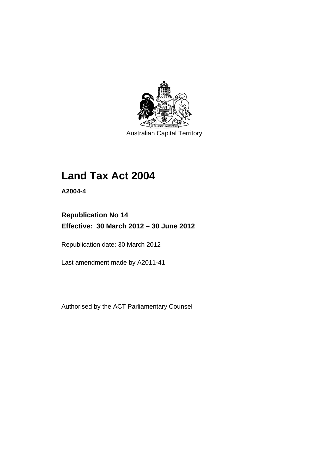

Australian Capital Territory

# **Land Tax Act 2004**

**A2004-4** 

# **Republication No 14 Effective: 30 March 2012 – 30 June 2012**

Republication date: 30 March 2012

Last amendment made by A2011-41

Authorised by the ACT Parliamentary Counsel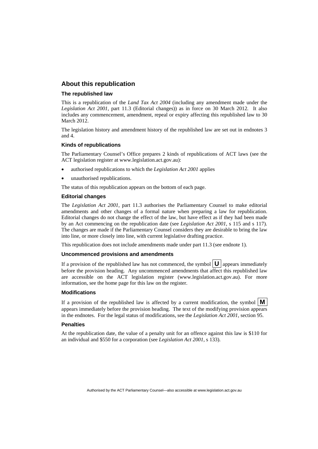### **About this republication**

### **The republished law**

This is a republication of the *Land Tax Act 2004* (including any amendment made under the *Legislation Act 2001*, part 11.3 (Editorial changes)) as in force on 30 March 2012*.* It also includes any commencement, amendment, repeal or expiry affecting this republished law to 30 March 2012.

The legislation history and amendment history of the republished law are set out in endnotes 3 and 4.

### **Kinds of republications**

The Parliamentary Counsel's Office prepares 2 kinds of republications of ACT laws (see the ACT legislation register at www.legislation.act.gov.au):

- authorised republications to which the *Legislation Act 2001* applies
- unauthorised republications.

The status of this republication appears on the bottom of each page.

#### **Editorial changes**

The *Legislation Act 2001*, part 11.3 authorises the Parliamentary Counsel to make editorial amendments and other changes of a formal nature when preparing a law for republication. Editorial changes do not change the effect of the law, but have effect as if they had been made by an Act commencing on the republication date (see *Legislation Act 2001*, s 115 and s 117). The changes are made if the Parliamentary Counsel considers they are desirable to bring the law into line, or more closely into line, with current legislative drafting practice.

This republication does not include amendments made under part 11.3 (see endnote 1).

### **Uncommenced provisions and amendments**

If a provision of the republished law has not commenced, the symbol  $\mathbf{U}$  appears immediately before the provision heading. Any uncommenced amendments that affect this republished law are accessible on the ACT legislation register (www.legislation.act.gov.au). For more information, see the home page for this law on the register.

#### **Modifications**

If a provision of the republished law is affected by a current modification, the symbol  $\mathbf{M}$ appears immediately before the provision heading. The text of the modifying provision appears in the endnotes. For the legal status of modifications, see the *Legislation Act 2001*, section 95.

#### **Penalties**

At the republication date, the value of a penalty unit for an offence against this law is \$110 for an individual and \$550 for a corporation (see *Legislation Act 2001*, s 133).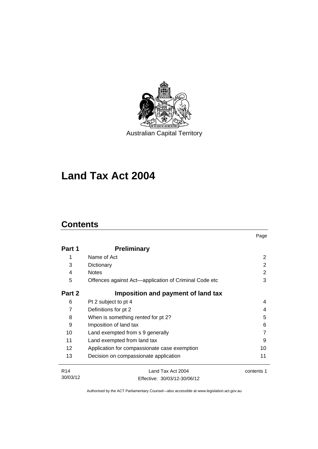

# **Land Tax Act 2004**

# **Contents**

|                 |                                                       | Page       |
|-----------------|-------------------------------------------------------|------------|
| Part 1          | <b>Preliminary</b>                                    |            |
| 1               | Name of Act                                           | 2          |
| 3               | Dictionary                                            | 2          |
| 4               | <b>Notes</b>                                          | 2          |
| 5               | Offences against Act-application of Criminal Code etc | 3          |
| Part 2          | Imposition and payment of land tax                    |            |
| 6               | Pt 2 subject to pt 4                                  | 4          |
| 7               | Definitions for pt 2                                  | 4          |
| 8               | When is something rented for pt 2?                    | 5          |
| 9               | Imposition of land tax                                | 6          |
| 10              | Land exempted from s 9 generally                      |            |
| 11              | Land exempted from land tax                           | 9          |
| 12 <sup>2</sup> | Application for compassionate case exemption          | 10         |
| 13              | Decision on compassionate application                 | 11         |
| R <sub>14</sub> | Land Tax Act 2004                                     | contents 1 |
| 30/03/12        | Fffective: 30/03/12-30/06/12                          |            |

Effective: 30/03/12-30/06/12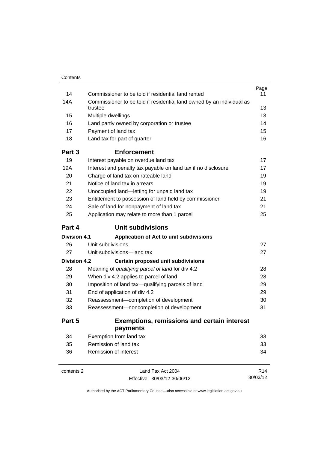|                                     |                                                                                  | Page            |
|-------------------------------------|----------------------------------------------------------------------------------|-----------------|
| 14                                  | Commissioner to be told if residential land rented                               | 11              |
| 14A                                 | Commissioner to be told if residential land owned by an individual as<br>trustee | 13              |
| 15                                  | Multiple dwellings                                                               | 13              |
| 16                                  | Land partly owned by corporation or trustee                                      | 14              |
| 17                                  | Payment of land tax                                                              | 15              |
| 18                                  | Land tax for part of quarter                                                     | 16              |
| Part 3                              | <b>Enforcement</b>                                                               |                 |
| 19                                  | Interest payable on overdue land tax                                             | 17              |
| 19A                                 | Interest and penalty tax payable on land tax if no disclosure                    | 17              |
| 20                                  | Charge of land tax on rateable land                                              | 19              |
| 21                                  | Notice of land tax in arrears                                                    | 19              |
| 22                                  | Unoccupied land-letting for unpaid land tax                                      | 19              |
| 23                                  | Entitlement to possession of land held by commissioner                           | 21              |
| 24                                  | Sale of land for nonpayment of land tax                                          | 21              |
| 25                                  | Application may relate to more than 1 parcel                                     | 25              |
| Part 4                              | Unit subdivisions                                                                |                 |
| <b>Division 4.1</b>                 | Application of Act to unit subdivisions                                          |                 |
| 26                                  | Unit subdivisions                                                                | 27              |
| 27                                  | Unit subdivisions-land tax                                                       | 27              |
| <b>Division 4.2</b>                 | <b>Certain proposed unit subdivisions</b>                                        |                 |
| 28                                  | Meaning of qualifying parcel of land for div 4.2                                 | 28              |
| 29                                  | When div 4.2 applies to parcel of land                                           | 28              |
| 30                                  | Imposition of land tax-qualifying parcels of land                                |                 |
| 31<br>End of application of div 4.2 |                                                                                  | 29              |
| 32                                  | Reassessment-completion of development                                           | 30              |
| 33                                  | Reassessment-noncompletion of development                                        | 31              |
| Part 5                              | <b>Exemptions, remissions and certain interest</b>                               |                 |
|                                     | payments                                                                         |                 |
| 34                                  | Exemption from land tax                                                          | 33              |
| 35                                  | Remission of land tax                                                            | 33              |
| 36                                  | Remission of interest                                                            | 34              |
| contents 2                          | Land Tax Act 2004                                                                | R <sub>14</sub> |
|                                     | Effective: 30/03/12-30/06/12                                                     | 30/03/12        |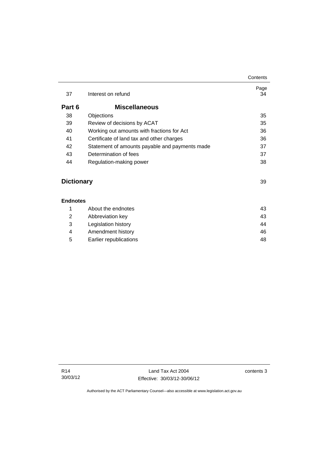| 37     | Interest on refund                             | Page<br>34 |
|--------|------------------------------------------------|------------|
| Part 6 | <b>Miscellaneous</b>                           |            |
| 38     | Objections                                     | 35         |
| 39     | Review of decisions by ACAT                    | 35         |
| 40     | Working out amounts with fractions for Act     | 36         |
| 41     | Certificate of land tax and other charges      | 36         |
| 42     | Statement of amounts payable and payments made | 37         |
| 43     | Determination of fees                          | 37         |
| 44     | Regulation-making power                        | 38         |
|        |                                                |            |

# **Dictionary** [39](#page-44-0)

### **[Endnotes](#page-48-0)**

|   |   | About the endnotes     | 43 |
|---|---|------------------------|----|
|   | 2 | Abbreviation key       | 43 |
|   | 3 | Legislation history    | 44 |
| 4 |   | Amendment history      | 46 |
|   | 5 | Earlier republications | 48 |
|   |   |                        |    |

**Contents**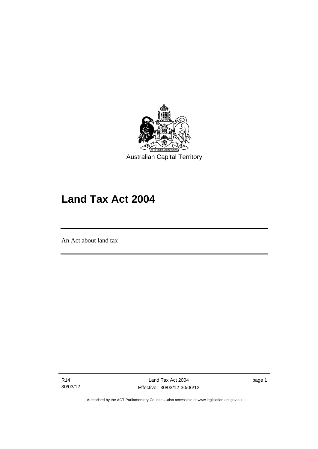

# **Land Tax Act 2004**

An Act about land tax

Ī

R14 30/03/12 page 1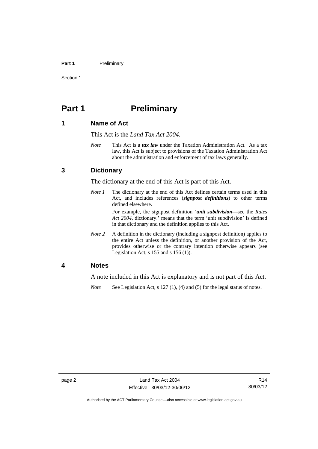### Part 1 **Preliminary**

Section 1

# <span id="page-7-0"></span>**Part 1** Preliminary

### <span id="page-7-1"></span>**1 Name of Act**

This Act is the *Land Tax Act 2004*.

*Note* This Act is a *tax law* under the Taxation Administration Act. As a tax law, this Act is subject to provisions of the Taxation Administration Act about the administration and enforcement of tax laws generally.

### <span id="page-7-2"></span>**3 Dictionary**

The dictionary at the end of this Act is part of this Act.

*Note 1* The dictionary at the end of this Act defines certain terms used in this Act, and includes references (*signpost definitions*) to other terms defined elsewhere.

> For example, the signpost definition '*unit subdivision*—see the *Rates Act 2004*, dictionary.' means that the term 'unit subdivision' is defined in that dictionary and the definition applies to this Act.

*Note* 2 A definition in the dictionary (including a signpost definition) applies to the entire Act unless the definition, or another provision of the Act, provides otherwise or the contrary intention otherwise appears (see Legislation Act,  $s$  155 and  $s$  156 (1)).

### <span id="page-7-3"></span>**4 Notes**

A note included in this Act is explanatory and is not part of this Act.

*Note* See Legislation Act, s 127 (1), (4) and (5) for the legal status of notes.

Authorised by the ACT Parliamentary Counsel—also accessible at www.legislation.act.gov.au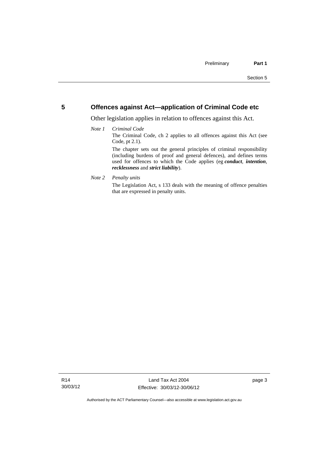### <span id="page-8-0"></span>**5 Offences against Act—application of Criminal Code etc**

Other legislation applies in relation to offences against this Act.

### *Note 1 Criminal Code*

The Criminal Code, ch 2 applies to all offences against this Act (see Code, pt 2.1).

The chapter sets out the general principles of criminal responsibility (including burdens of proof and general defences), and defines terms used for offences to which the Code applies (eg *conduct*, *intention*, *recklessness* and *strict liability*).

### *Note 2 Penalty units*

The Legislation Act, s 133 deals with the meaning of offence penalties that are expressed in penalty units.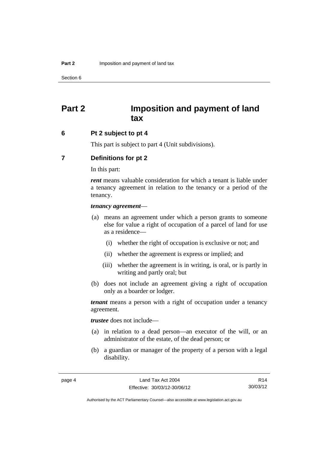# <span id="page-9-0"></span>**Part 2 Imposition and payment of land tax**

### <span id="page-9-1"></span>**6 Pt 2 subject to pt 4**

This part is subject to part 4 (Unit subdivisions).

### <span id="page-9-2"></span>**7 Definitions for pt 2**

In this part:

*rent* means valuable consideration for which a tenant is liable under a tenancy agreement in relation to the tenancy or a period of the tenancy.

### *tenancy agreement*—

- (a) means an agreement under which a person grants to someone else for value a right of occupation of a parcel of land for use as a residence—
	- (i) whether the right of occupation is exclusive or not; and
	- (ii) whether the agreement is express or implied; and
	- (iii) whether the agreement is in writing, is oral, or is partly in writing and partly oral; but
- (b) does not include an agreement giving a right of occupation only as a boarder or lodger.

*tenant* means a person with a right of occupation under a tenancy agreement.

*trustee* does not include—

- (a) in relation to a dead person—an executor of the will, or an administrator of the estate, of the dead person; or
- (b) a guardian or manager of the property of a person with a legal disability.

R14 30/03/12

Authorised by the ACT Parliamentary Counsel—also accessible at www.legislation.act.gov.au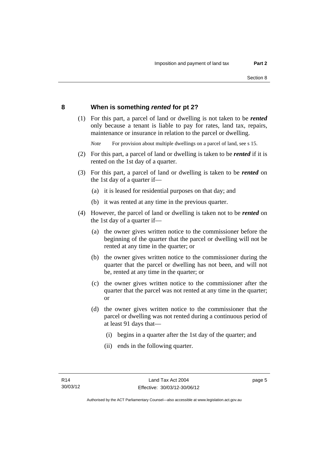### <span id="page-10-0"></span>**8 When is something** *rented* **for pt 2?**

 (1) For this part, a parcel of land or dwelling is not taken to be *rented* only because a tenant is liable to pay for rates, land tax, repairs, maintenance or insurance in relation to the parcel or dwelling.

*Note* For provision about multiple dwellings on a parcel of land, see s 15.

- (2) For this part, a parcel of land or dwelling is taken to be *rented* if it is rented on the 1st day of a quarter.
- (3) For this part, a parcel of land or dwelling is taken to be *rented* on the 1st day of a quarter if—
	- (a) it is leased for residential purposes on that day; and
	- (b) it was rented at any time in the previous quarter.
- (4) However, the parcel of land or dwelling is taken not to be *rented* on the 1st day of a quarter if—
	- (a) the owner gives written notice to the commissioner before the beginning of the quarter that the parcel or dwelling will not be rented at any time in the quarter; or
	- (b) the owner gives written notice to the commissioner during the quarter that the parcel or dwelling has not been, and will not be, rented at any time in the quarter; or
	- (c) the owner gives written notice to the commissioner after the quarter that the parcel was not rented at any time in the quarter; or
	- (d) the owner gives written notice to the commissioner that the parcel or dwelling was not rented during a continuous period of at least 91 days that—
		- (i) begins in a quarter after the 1st day of the quarter; and
		- (ii) ends in the following quarter.

page 5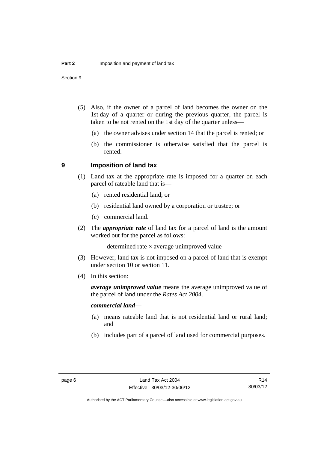Section 9

- (5) Also, if the owner of a parcel of land becomes the owner on the 1st day of a quarter or during the previous quarter, the parcel is taken to be not rented on the 1st day of the quarter unless—
	- (a) the owner advises under section 14 that the parcel is rented; or
	- (b) the commissioner is otherwise satisfied that the parcel is rented.

### <span id="page-11-0"></span>**9 Imposition of land tax**

- (1) Land tax at the appropriate rate is imposed for a quarter on each parcel of rateable land that is—
	- (a) rented residential land; or
	- (b) residential land owned by a corporation or trustee; or
	- (c) commercial land.
- (2) The *appropriate rate* of land tax for a parcel of land is the amount worked out for the parcel as follows:

determined rate  $\times$  average unimproved value

- (3) However, land tax is not imposed on a parcel of land that is exempt under section 10 or section 11.
- (4) In this section:

*average unimproved value* means the average unimproved value of the parcel of land under the *Rates Act 2004*.

### *commercial land*—

- (a) means rateable land that is not residential land or rural land; and
- (b) includes part of a parcel of land used for commercial purposes.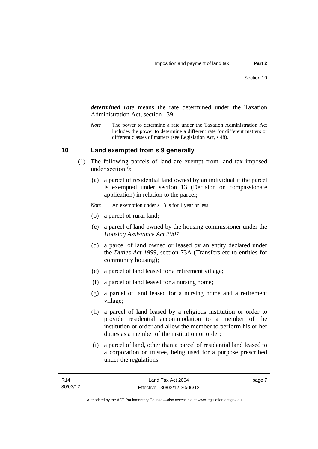*determined rate* means the rate determined under the Taxation Administration Act, section 139.

*Note* The power to determine a rate under the Taxation Administration Act includes the power to determine a different rate for different matters or different classes of matters (see Legislation Act, s 48).

### <span id="page-12-0"></span>**10 Land exempted from s 9 generally**

- (1) The following parcels of land are exempt from land tax imposed under section 9:
	- (a) a parcel of residential land owned by an individual if the parcel is exempted under section 13 (Decision on compassionate application) in relation to the parcel;
	- *Note* An exemption under s 13 is for 1 year or less.
	- (b) a parcel of rural land;
	- (c) a parcel of land owned by the housing commissioner under the *Housing Assistance Act 2007*;
	- (d) a parcel of land owned or leased by an entity declared under the *Duties Act 1999*, section 73A (Transfers etc to entities for community housing);
	- (e) a parcel of land leased for a retirement village;
	- (f) a parcel of land leased for a nursing home;
	- (g) a parcel of land leased for a nursing home and a retirement village;
	- (h) a parcel of land leased by a religious institution or order to provide residential accommodation to a member of the institution or order and allow the member to perform his or her duties as a member of the institution or order;
	- (i) a parcel of land, other than a parcel of residential land leased to a corporation or trustee, being used for a purpose prescribed under the regulations.

page 7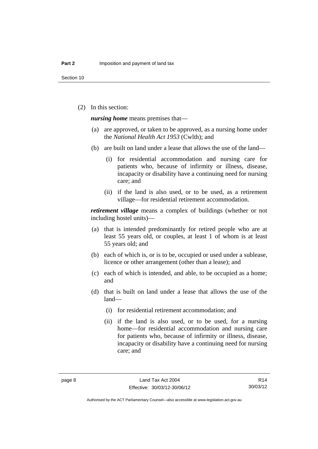(2) In this section:

*nursing home* means premises that—

- (a) are approved, or taken to be approved, as a nursing home under the *National Health Act 1953* (Cwlth); and
- (b) are built on land under a lease that allows the use of the land—
	- (i) for residential accommodation and nursing care for patients who, because of infirmity or illness, disease, incapacity or disability have a continuing need for nursing care; and
	- (ii) if the land is also used, or to be used, as a retirement village—for residential retirement accommodation.

*retirement village* means a complex of buildings (whether or not including hostel units)—

- (a) that is intended predominantly for retired people who are at least 55 years old, or couples, at least 1 of whom is at least 55 years old; and
- (b) each of which is, or is to be, occupied or used under a sublease, licence or other arrangement (other than a lease); and
- (c) each of which is intended, and able, to be occupied as a home; and
- (d) that is built on land under a lease that allows the use of the land—
	- (i) for residential retirement accommodation; and
	- (ii) if the land is also used, or to be used, for a nursing home—for residential accommodation and nursing care for patients who, because of infirmity or illness, disease, incapacity or disability have a continuing need for nursing care; and

R14 30/03/12

Authorised by the ACT Parliamentary Counsel—also accessible at www.legislation.act.gov.au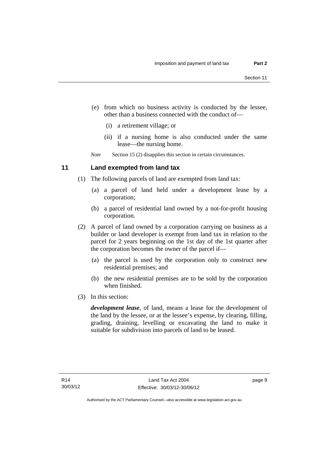- (e) from which no business activity is conducted by the lessee, other than a business connected with the conduct of—
	- (i) a retirement village; or
	- (ii) if a nursing home is also conducted under the same lease—the nursing home.

*Note* Section 15 (2) disapplies this section in certain circumstances.

### <span id="page-14-0"></span>**11 Land exempted from land tax**

- (1) The following parcels of land are exempted from land tax:
	- (a) a parcel of land held under a development lease by a corporation;
	- (b) a parcel of residential land owned by a not-for-profit housing corporation.
- (2) A parcel of land owned by a corporation carrying on business as a builder or land developer is exempt from land tax in relation to the parcel for 2 years beginning on the 1st day of the 1st quarter after the corporation becomes the owner of the parcel if—
	- (a) the parcel is used by the corporation only to construct new residential premises; and
	- (b) the new residential premises are to be sold by the corporation when finished.
- (3) In this section:

*development lease*, of land, means a lease for the development of the land by the lessee, or at the lessee's expense, by clearing, filling, grading, draining, levelling or excavating the land to make it suitable for subdivision into parcels of land to be leased.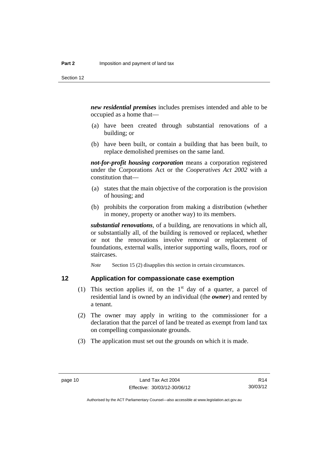*new residential premises* includes premises intended and able to be occupied as a home that—

- (a) have been created through substantial renovations of a building; or
- (b) have been built, or contain a building that has been built, to replace demolished premises on the same land.

*not-for-profit housing corporation* means a corporation registered under the Corporations Act or the *Cooperatives Act 2002* with a constitution that—

- (a) states that the main objective of the corporation is the provision of housing; and
- (b) prohibits the corporation from making a distribution (whether in money, property or another way) to its members.

*substantial renovations*, of a building, are renovations in which all, or substantially all, of the building is removed or replaced, whether or not the renovations involve removal or replacement of foundations, external walls, interior supporting walls, floors, roof or staircases.

*Note* Section 15 (2) disapplies this section in certain circumstances.

# <span id="page-15-0"></span>**12 Application for compassionate case exemption**

- (1) This section applies if, on the  $1<sup>st</sup>$  day of a quarter, a parcel of residential land is owned by an individual (the *owner*) and rented by a tenant.
- (2) The owner may apply in writing to the commissioner for a declaration that the parcel of land be treated as exempt from land tax on compelling compassionate grounds.
- (3) The application must set out the grounds on which it is made.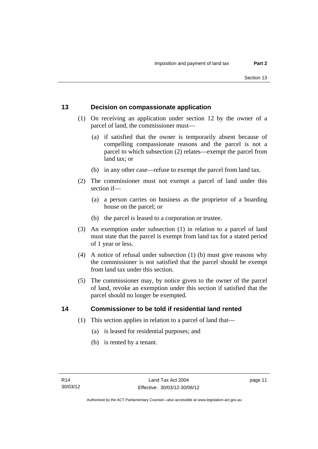# <span id="page-16-0"></span>**13 Decision on compassionate application**

- (1) On receiving an application under section 12 by the owner of a parcel of land, the commissioner must—
	- (a) if satisfied that the owner is temporarily absent because of compelling compassionate reasons and the parcel is not a parcel to which subsection (2) relates—exempt the parcel from land tax; or
	- (b) in any other case—refuse to exempt the parcel from land tax.
- (2) The commissioner must not exempt a parcel of land under this section if—
	- (a) a person carries on business as the proprietor of a boarding house on the parcel; or
	- (b) the parcel is leased to a corporation or trustee.
- (3) An exemption under subsection (1) in relation to a parcel of land must state that the parcel is exempt from land tax for a stated period of 1 year or less.
- (4) A notice of refusal under subsection (1) (b) must give reasons why the commissioner is not satisfied that the parcel should be exempt from land tax under this section.
- (5) The commissioner may, by notice given to the owner of the parcel of land, revoke an exemption under this section if satisfied that the parcel should no longer be exempted.

### <span id="page-16-1"></span>**14 Commissioner to be told if residential land rented**

- (1) This section applies in relation to a parcel of land that—
	- (a) is leased for residential purposes; and
	- (b) is rented by a tenant.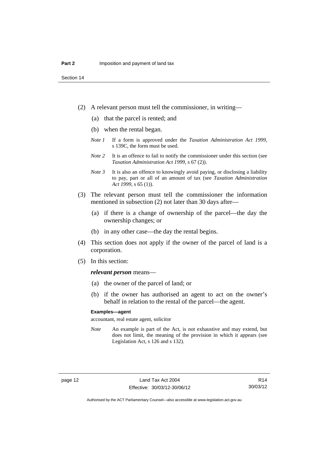- (2) A relevant person must tell the commissioner, in writing—
	- (a) that the parcel is rented; and
	- (b) when the rental began.
	- *Note 1* If a form is approved under the *Taxation Administration Act 1999*, s 139C, the form must be used.
	- *Note* 2 It is an offence to fail to notify the commissioner under this section (see *Taxation Administration Act 1999*, s 67 (2)).
	- *Note 3* It is also an offence to knowingly avoid paying, or disclosing a liability to pay, part or all of an amount of tax (see *Taxation Administration Act 1999*, s 65 (1)).
- (3) The relevant person must tell the commissioner the information mentioned in subsection (2) not later than 30 days after—
	- (a) if there is a change of ownership of the parcel—the day the ownership changes; or
	- (b) in any other case—the day the rental begins.
- (4) This section does not apply if the owner of the parcel of land is a corporation.
- (5) In this section:

### *relevant person* means—

- (a) the owner of the parcel of land; or
- (b) if the owner has authorised an agent to act on the owner's behalf in relation to the rental of the parcel—the agent.

### **Examples—agent**

accountant, real estate agent, solicitor

*Note* An example is part of the Act, is not exhaustive and may extend, but does not limit, the meaning of the provision in which it appears (see Legislation Act, s 126 and s 132).

Authorised by the ACT Parliamentary Counsel—also accessible at www.legislation.act.gov.au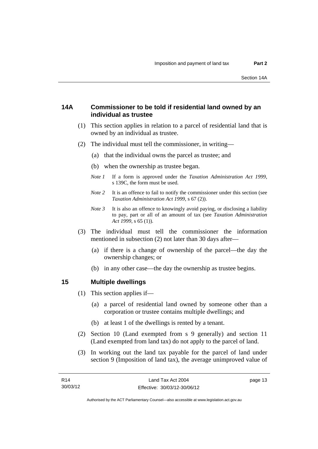# <span id="page-18-0"></span>**14A Commissioner to be told if residential land owned by an individual as trustee**

- (1) This section applies in relation to a parcel of residential land that is owned by an individual as trustee.
- (2) The individual must tell the commissioner, in writing—
	- (a) that the individual owns the parcel as trustee; and
	- (b) when the ownership as trustee began.
	- *Note 1* If a form is approved under the *Taxation Administration Act 1999*, s 139C, the form must be used.
	- *Note* 2 It is an offence to fail to notify the commissioner under this section (see *Taxation Administration Act 1999*, s 67 (2)).
	- *Note 3* It is also an offence to knowingly avoid paying, or disclosing a liability to pay, part or all of an amount of tax (see *Taxation Administration Act 1999*, s 65 (1)).
- (3) The individual must tell the commissioner the information mentioned in subsection (2) not later than 30 days after—
	- (a) if there is a change of ownership of the parcel—the day the ownership changes; or
	- (b) in any other case—the day the ownership as trustee begins.

### <span id="page-18-1"></span>**15 Multiple dwellings**

- (1) This section applies if—
	- (a) a parcel of residential land owned by someone other than a corporation or trustee contains multiple dwellings; and
	- (b) at least 1 of the dwellings is rented by a tenant.
- (2) Section 10 (Land exempted from s 9 generally) and section 11 (Land exempted from land tax) do not apply to the parcel of land.
- (3) In working out the land tax payable for the parcel of land under section 9 (Imposition of land tax), the average unimproved value of

page 13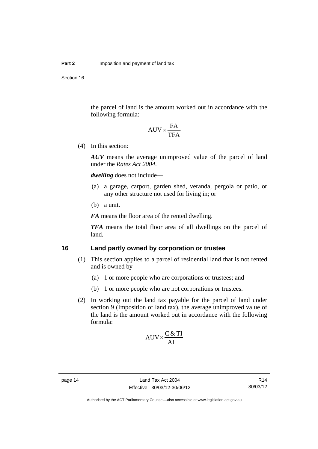Section 16

the parcel of land is the amount worked out in accordance with the following formula:

$$
AUV \times \frac{FA}{TFA}
$$

(4) In this section:

*AUV* means the average unimproved value of the parcel of land under the *Rates Act 2004*.

*dwelling* does not include—

- (a) a garage, carport, garden shed, veranda, pergola or patio, or any other structure not used for living in; or
- (b) a unit.

*FA* means the floor area of the rented dwelling.

*TFA* means the total floor area of all dwellings on the parcel of land.

# <span id="page-19-0"></span>**16 Land partly owned by corporation or trustee**

- (1) This section applies to a parcel of residential land that is not rented and is owned by—
	- (a) 1 or more people who are corporations or trustees; and
	- (b) 1 or more people who are not corporations or trustees.
- (2) In working out the land tax payable for the parcel of land under section 9 (Imposition of land tax), the average unimproved value of the land is the amount worked out in accordance with the following formula:

$$
AUV \times \frac{C & TI}{AI}
$$

R14 30/03/12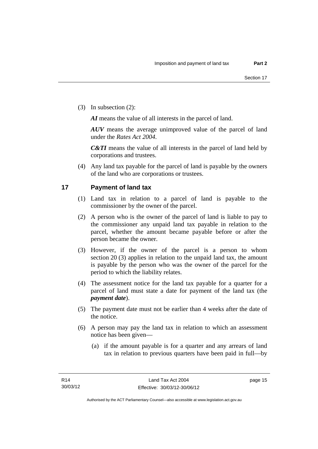(3) In subsection (2):

*AI* means the value of all interests in the parcel of land.

*AUV* means the average unimproved value of the parcel of land under the *Rates Act 2004*.

*C&TI* means the value of all interests in the parcel of land held by corporations and trustees.

 (4) Any land tax payable for the parcel of land is payable by the owners of the land who are corporations or trustees.

# <span id="page-20-0"></span>**17 Payment of land tax**

- (1) Land tax in relation to a parcel of land is payable to the commissioner by the owner of the parcel.
- (2) A person who is the owner of the parcel of land is liable to pay to the commissioner any unpaid land tax payable in relation to the parcel, whether the amount became payable before or after the person became the owner.
- (3) However, if the owner of the parcel is a person to whom section 20 (3) applies in relation to the unpaid land tax, the amount is payable by the person who was the owner of the parcel for the period to which the liability relates.
- (4) The assessment notice for the land tax payable for a quarter for a parcel of land must state a date for payment of the land tax (the *payment date*).
- (5) The payment date must not be earlier than 4 weeks after the date of the notice.
- (6) A person may pay the land tax in relation to which an assessment notice has been given—
	- (a) if the amount payable is for a quarter and any arrears of land tax in relation to previous quarters have been paid in full—by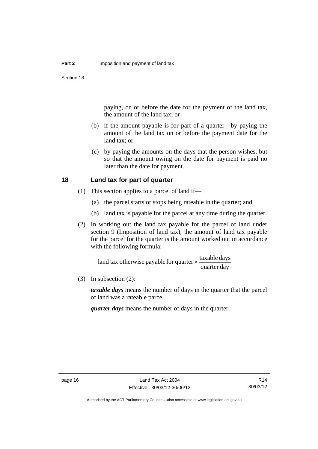paying, on or before the date for the payment of the land tax, the amount of the land tax; or

- (b) if the amount payable is for part of a quarter—by paying the amount of the land tax on or before the payment date for the land tax; or
- (c) by paying the amounts on the days that the person wishes, but so that the amount owing on the date for payment is paid no later than the date for payment.

### <span id="page-21-0"></span>**18 Land tax for part of quarter**

- (1) This section applies to a parcel of land if—
	- (a) the parcel starts or stops being rateable in the quarter; and
	- (b) land tax is payable for the parcel at any time during the quarter.
- (2) In working out the land tax payable for the parcel of land under section 9 (Imposition of land tax), the amount of land tax payable for the parcel for the quarter is the amount worked out in accordance with the following formula:

quarter day land tax otherwise payable for quarter  $\times$   $\frac{\text{taxable days}}{\text{.}}$ 

(3) In subsection (2):

*taxable days* means the number of days in the quarter that the parcel of land was a rateable parcel.

*quarter days* means the number of days in the quarter.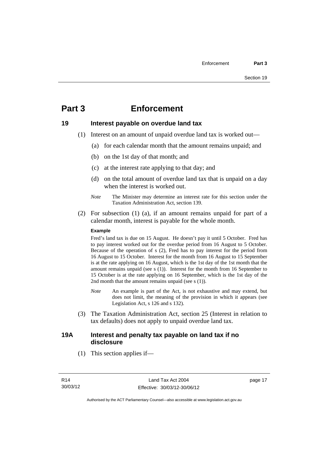# <span id="page-22-0"></span>**Part 3 Enforcement**

### <span id="page-22-1"></span>**19 Interest payable on overdue land tax**

- (1) Interest on an amount of unpaid overdue land tax is worked out—
	- (a) for each calendar month that the amount remains unpaid; and
	- (b) on the 1st day of that month; and
	- (c) at the interest rate applying to that day; and
	- (d) on the total amount of overdue land tax that is unpaid on a day when the interest is worked out.
	- *Note* The Minister may determine an interest rate for this section under the Taxation Administration Act, section 139.
- (2) For subsection (1) (a), if an amount remains unpaid for part of a calendar month, interest is payable for the whole month.

### **Example**

Fred's land tax is due on 15 August. He doesn't pay it until 5 October. Fred has to pay interest worked out for the overdue period from 16 August to 5 October. Because of the operation of s (2), Fred has to pay interest for the period from 16 August to 15 October. Interest for the month from 16 August to 15 September is at the rate applying on 16 August, which is the 1st day of the 1st month that the amount remains unpaid (see s (1)). Interest for the month from 16 September to 15 October is at the rate applying on 16 September, which is the 1st day of the 2nd month that the amount remains unpaid (see s (1)).

- *Note* An example is part of the Act, is not exhaustive and may extend, but does not limit, the meaning of the provision in which it appears (see Legislation Act, s 126 and s 132).
- (3) The Taxation Administration Act, section 25 (Interest in relation to tax defaults) does not apply to unpaid overdue land tax.

# <span id="page-22-2"></span>**19A Interest and penalty tax payable on land tax if no disclosure**

(1) This section applies if—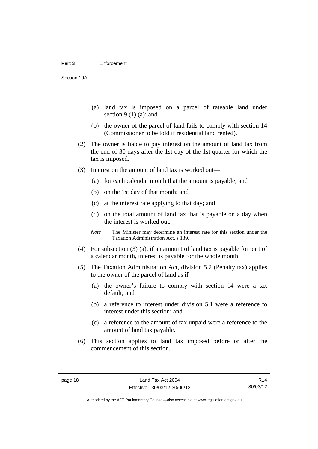- (a) land tax is imposed on a parcel of rateable land under section  $9(1)(a)$ ; and
- (b) the owner of the parcel of land fails to comply with section 14 (Commissioner to be told if residential land rented).
- (2) The owner is liable to pay interest on the amount of land tax from the end of 30 days after the 1st day of the 1st quarter for which the tax is imposed.
- (3) Interest on the amount of land tax is worked out—
	- (a) for each calendar month that the amount is payable; and
	- (b) on the 1st day of that month; and
	- (c) at the interest rate applying to that day; and
	- (d) on the total amount of land tax that is payable on a day when the interest is worked out.
	- *Note* The Minister may determine an interest rate for this section under the Taxation Administration Act, s 139.
- (4) For subsection (3) (a), if an amount of land tax is payable for part of a calendar month, interest is payable for the whole month.
- (5) The Taxation Administration Act, division 5.2 (Penalty tax) applies to the owner of the parcel of land as if—
	- (a) the owner's failure to comply with section 14 were a tax default; and
	- (b) a reference to interest under division 5.1 were a reference to interest under this section; and
	- (c) a reference to the amount of tax unpaid were a reference to the amount of land tax payable.
- (6) This section applies to land tax imposed before or after the commencement of this section.

R14 30/03/12

Authorised by the ACT Parliamentary Counsel—also accessible at www.legislation.act.gov.au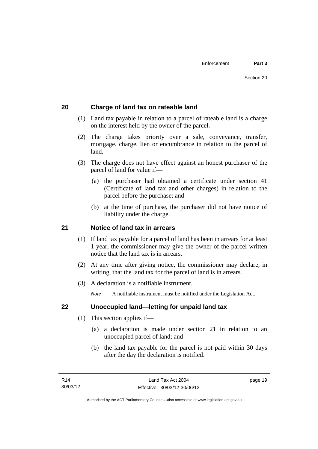# <span id="page-24-0"></span>**20 Charge of land tax on rateable land**

- (1) Land tax payable in relation to a parcel of rateable land is a charge on the interest held by the owner of the parcel.
- (2) The charge takes priority over a sale, conveyance, transfer, mortgage, charge, lien or encumbrance in relation to the parcel of land.
- (3) The charge does not have effect against an honest purchaser of the parcel of land for value if—
	- (a) the purchaser had obtained a certificate under section 41 (Certificate of land tax and other charges) in relation to the parcel before the purchase; and
	- (b) at the time of purchase, the purchaser did not have notice of liability under the charge.

# <span id="page-24-1"></span>**21 Notice of land tax in arrears**

- (1) If land tax payable for a parcel of land has been in arrears for at least 1 year, the commissioner may give the owner of the parcel written notice that the land tax is in arrears.
- (2) At any time after giving notice, the commissioner may declare, in writing, that the land tax for the parcel of land is in arrears.
- (3) A declaration is a notifiable instrument.

*Note* A notifiable instrument must be notified under the Legislation Act.

# <span id="page-24-2"></span>**22 Unoccupied land—letting for unpaid land tax**

- (1) This section applies if—
	- (a) a declaration is made under section 21 in relation to an unoccupied parcel of land; and
	- (b) the land tax payable for the parcel is not paid within 30 days after the day the declaration is notified.

page 19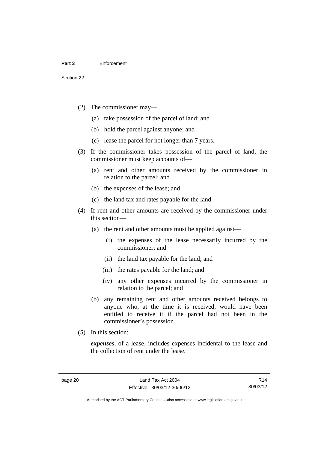- (2) The commissioner may—
	- (a) take possession of the parcel of land; and
	- (b) hold the parcel against anyone; and
	- (c) lease the parcel for not longer than 7 years.
- (3) If the commissioner takes possession of the parcel of land, the commissioner must keep accounts of—
	- (a) rent and other amounts received by the commissioner in relation to the parcel; and
	- (b) the expenses of the lease; and
	- (c) the land tax and rates payable for the land.
- (4) If rent and other amounts are received by the commissioner under this section—
	- (a) the rent and other amounts must be applied against—
		- (i) the expenses of the lease necessarily incurred by the commissioner; and
		- (ii) the land tax payable for the land; and
		- (iii) the rates payable for the land; and
		- (iv) any other expenses incurred by the commissioner in relation to the parcel; and
	- (b) any remaining rent and other amounts received belongs to anyone who, at the time it is received, would have been entitled to receive it if the parcel had not been in the commissioner's possession.
- (5) In this section:

*expenses*, of a lease, includes expenses incidental to the lease and the collection of rent under the lease.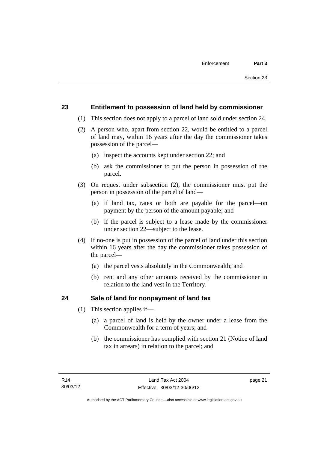# <span id="page-26-0"></span>**23 Entitlement to possession of land held by commissioner**

- (1) This section does not apply to a parcel of land sold under section 24.
- (2) A person who, apart from section 22, would be entitled to a parcel of land may, within 16 years after the day the commissioner takes possession of the parcel—
	- (a) inspect the accounts kept under section 22; and
	- (b) ask the commissioner to put the person in possession of the parcel.
- (3) On request under subsection (2), the commissioner must put the person in possession of the parcel of land—
	- (a) if land tax, rates or both are payable for the parcel—on payment by the person of the amount payable; and
	- (b) if the parcel is subject to a lease made by the commissioner under section 22—subject to the lease.
- (4) If no-one is put in possession of the parcel of land under this section within 16 years after the day the commissioner takes possession of the parcel—
	- (a) the parcel vests absolutely in the Commonwealth; and
	- (b) rent and any other amounts received by the commissioner in relation to the land vest in the Territory.

# <span id="page-26-1"></span>**24 Sale of land for nonpayment of land tax**

- (1) This section applies if—
	- (a) a parcel of land is held by the owner under a lease from the Commonwealth for a term of years; and
	- (b) the commissioner has complied with section 21 (Notice of land tax in arrears) in relation to the parcel; and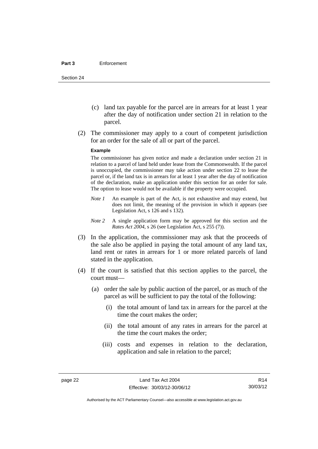- (c) land tax payable for the parcel are in arrears for at least 1 year after the day of notification under section 21 in relation to the parcel.
- (2) The commissioner may apply to a court of competent jurisdiction for an order for the sale of all or part of the parcel.

#### **Example**

The commissioner has given notice and made a declaration under section 21 in relation to a parcel of land held under lease from the Commonwealth. If the parcel is unoccupied, the commissioner may take action under section 22 to lease the parcel or, if the land tax is in arrears for at least 1 year after the day of notification of the declaration, make an application under this section for an order for sale. The option to lease would not be available if the property were occupied.

- *Note 1* An example is part of the Act, is not exhaustive and may extend, but does not limit, the meaning of the provision in which it appears (see Legislation Act, s 126 and s 132).
- *Note 2* A single application form may be approved for this section and the *Rates Act 2004*, s 26 (see Legislation Act, s 255 (7)).
- (3) In the application, the commissioner may ask that the proceeds of the sale also be applied in paying the total amount of any land tax, land rent or rates in arrears for 1 or more related parcels of land stated in the application.
- (4) If the court is satisfied that this section applies to the parcel, the court must—
	- (a) order the sale by public auction of the parcel, or as much of the parcel as will be sufficient to pay the total of the following:
		- (i) the total amount of land tax in arrears for the parcel at the time the court makes the order;
		- (ii) the total amount of any rates in arrears for the parcel at the time the court makes the order;
		- (iii) costs and expenses in relation to the declaration, application and sale in relation to the parcel;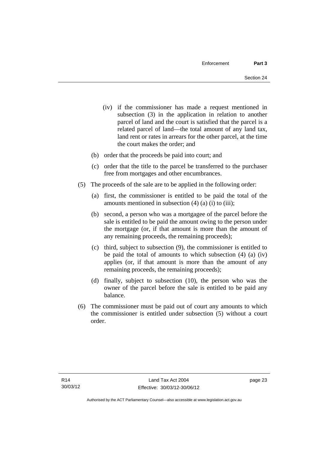- (iv) if the commissioner has made a request mentioned in subsection (3) in the application in relation to another parcel of land and the court is satisfied that the parcel is a related parcel of land—the total amount of any land tax, land rent or rates in arrears for the other parcel, at the time the court makes the order; and
- (b) order that the proceeds be paid into court; and
- (c) order that the title to the parcel be transferred to the purchaser free from mortgages and other encumbrances.
- (5) The proceeds of the sale are to be applied in the following order:
	- (a) first, the commissioner is entitled to be paid the total of the amounts mentioned in subsection  $(4)$   $(a)$   $(i)$  to  $(iii)$ ;
	- (b) second, a person who was a mortgagee of the parcel before the sale is entitled to be paid the amount owing to the person under the mortgage (or, if that amount is more than the amount of any remaining proceeds, the remaining proceeds);
	- (c) third, subject to subsection (9), the commissioner is entitled to be paid the total of amounts to which subsection (4) (a) (iv) applies (or, if that amount is more than the amount of any remaining proceeds, the remaining proceeds);
	- (d) finally, subject to subsection (10), the person who was the owner of the parcel before the sale is entitled to be paid any balance.
- (6) The commissioner must be paid out of court any amounts to which the commissioner is entitled under subsection (5) without a court order.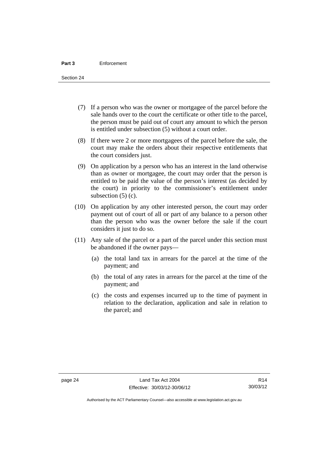Section 24

- (7) If a person who was the owner or mortgagee of the parcel before the sale hands over to the court the certificate or other title to the parcel, the person must be paid out of court any amount to which the person is entitled under subsection (5) without a court order.
- (8) If there were 2 or more mortgagees of the parcel before the sale, the court may make the orders about their respective entitlements that the court considers just.
- (9) On application by a person who has an interest in the land otherwise than as owner or mortgagee, the court may order that the person is entitled to be paid the value of the person's interest (as decided by the court) in priority to the commissioner's entitlement under subsection (5) (c).
- (10) On application by any other interested person, the court may order payment out of court of all or part of any balance to a person other than the person who was the owner before the sale if the court considers it just to do so.
- (11) Any sale of the parcel or a part of the parcel under this section must be abandoned if the owner pays—
	- (a) the total land tax in arrears for the parcel at the time of the payment; and
	- (b) the total of any rates in arrears for the parcel at the time of the payment; and
	- (c) the costs and expenses incurred up to the time of payment in relation to the declaration, application and sale in relation to the parcel; and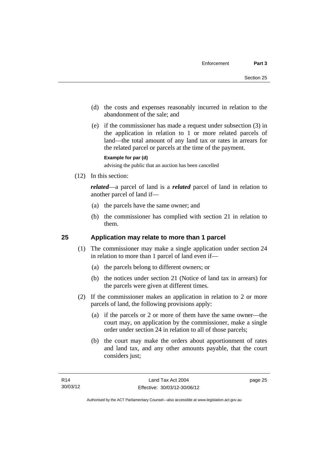- (d) the costs and expenses reasonably incurred in relation to the abandonment of the sale; and
- (e) if the commissioner has made a request under subsection (3) in the application in relation to 1 or more related parcels of land—the total amount of any land tax or rates in arrears for the related parcel or parcels at the time of the payment.

### **Example for par (d)**

advising the public that an auction has been cancelled

(12) In this section:

*related*—a parcel of land is a *related* parcel of land in relation to another parcel of land if—

- (a) the parcels have the same owner; and
- (b) the commissioner has complied with section 21 in relation to them.

# <span id="page-30-0"></span>**25 Application may relate to more than 1 parcel**

- (1) The commissioner may make a single application under section 24 in relation to more than 1 parcel of land even if—
	- (a) the parcels belong to different owners; or
	- (b) the notices under section 21 (Notice of land tax in arrears) for the parcels were given at different times.
- (2) If the commissioner makes an application in relation to 2 or more parcels of land, the following provisions apply:
	- (a) if the parcels or 2 or more of them have the same owner—the court may, on application by the commissioner, make a single order under section 24 in relation to all of those parcels;
	- (b) the court may make the orders about apportionment of rates and land tax, and any other amounts payable, that the court considers just;

page 25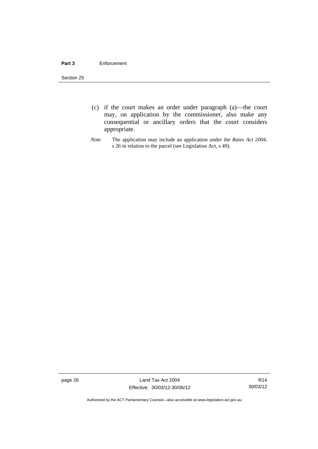### **Part 3** Enforcement

Section 25

- (c) if the court makes an order under paragraph (a)—the court may, on application by the commissioner, also make any consequential or ancillary orders that the court considers appropriate.
- *Note* The application may include an application under the *Rates Act 2004*, s 26 in relation to the parcel (see Legislation Act, s 49).

page 26 Land Tax Act 2004 Effective: 30/03/12-30/06/12

R14 30/03/12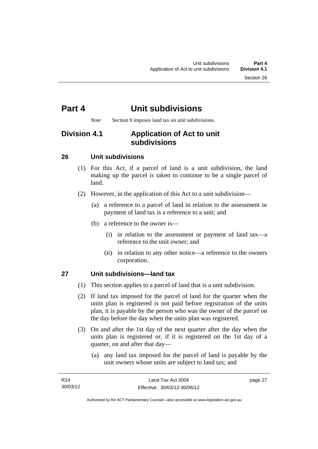# <span id="page-32-0"></span>**Part 4 Unit subdivisions**

*Note* Section 9 imposes land tax on unit subdivisions.

# <span id="page-32-1"></span>**Division 4.1 Application of Act to unit subdivisions**

# <span id="page-32-2"></span>**26 Unit subdivisions**

- (1) For this Act, if a parcel of land is a unit subdivision, the land making up the parcel is taken to continue to be a single parcel of land.
- (2) However, in the application of this Act to a unit subdivision—
	- (a) a reference to a parcel of land in relation to the assessment or payment of land tax is a reference to a unit; and
	- (b) a reference to the owner is—
		- (i) in relation to the assessment or payment of land tax—a reference to the unit owner; and
		- (ii) in relation to any other notice—a reference to the owners corporation.

# <span id="page-32-3"></span>**27 Unit subdivisions—land tax**

- (1) This section applies to a parcel of land that is a unit subdivision.
- (2) If land tax imposed for the parcel of land for the quarter when the units plan is registered is not paid before registration of the units plan, it is payable by the person who was the owner of the parcel on the day before the day when the units plan was registered.
- (3) On and after the 1st day of the next quarter after the day when the units plan is registered or, if it is registered on the 1st day of a quarter, on and after that day—
	- (a) any land tax imposed for the parcel of land is payable by the unit owners whose units are subject to land tax; and

page 27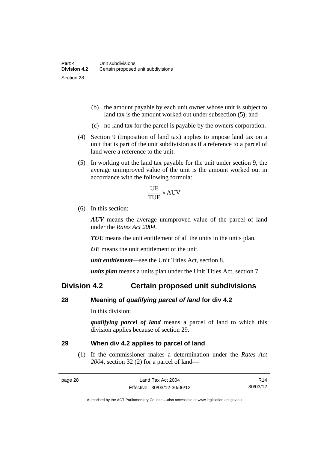- (b) the amount payable by each unit owner whose unit is subject to land tax is the amount worked out under subsection (5); and
- (c) no land tax for the parcel is payable by the owners corporation.
- (4) Section 9 (Imposition of land tax) applies to impose land tax on a unit that is part of the unit subdivision as if a reference to a parcel of land were a reference to the unit.
- (5) In working out the land tax payable for the unit under section 9, the average unimproved value of the unit is the amount worked out in accordance with the following formula:

$$
\frac{\text{UE}}{\text{TUE}} \times \text{AUV}
$$

(6) In this section:

*AUV* means the average unimproved value of the parcel of land under the *Rates Act 2004*.

*TUE* means the unit entitlement of all the units in the units plan.

*UE*means the unit entitlement of the unit.

*unit entitlement*—see the Unit Titles Act, section 8.

*units plan* means a units plan under the Unit Titles Act, section 7.

# <span id="page-33-0"></span>**Division 4.2 Certain proposed unit subdivisions**

### <span id="page-33-1"></span>**28 Meaning of** *qualifying parcel of land* **for div 4.2**

In this division:

*qualifying parcel of land* means a parcel of land to which this division applies because of section 29.

### <span id="page-33-2"></span>**29 When div 4.2 applies to parcel of land**

(1) If the commissioner makes a determination under the *Rates Act 2004*, section 32 (2) for a parcel of land—

R14 30/03/12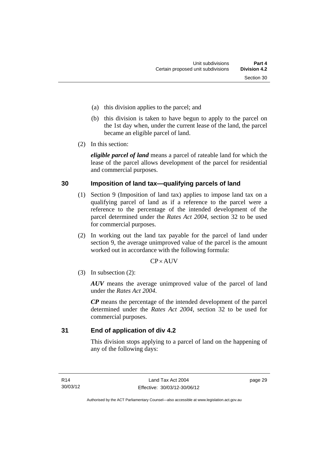- (a) this division applies to the parcel; and
- (b) this division is taken to have begun to apply to the parcel on the 1st day when, under the current lease of the land, the parcel became an eligible parcel of land.
- (2) In this section:

*eligible parcel of land* means a parcel of rateable land for which the lease of the parcel allows development of the parcel for residential and commercial purposes.

# <span id="page-34-0"></span>**30 Imposition of land tax—qualifying parcels of land**

- (1) Section 9 (Imposition of land tax) applies to impose land tax on a qualifying parcel of land as if a reference to the parcel were a reference to the percentage of the intended development of the parcel determined under the *Rates Act 2004*, section 32 to be used for commercial purposes.
- (2) In working out the land tax payable for the parcel of land under section 9, the average unimproved value of the parcel is the amount worked out in accordance with the following formula:

# $CP \times AUV$

(3) In subsection (2):

*AUV* means the average unimproved value of the parcel of land under the *Rates Act 2004*.

*CP* means the percentage of the intended development of the parcel determined under the *Rates Act 2004*, section 32 to be used for commercial purposes.

<span id="page-34-1"></span>**31 End of application of div 4.2** 

This division stops applying to a parcel of land on the happening of any of the following days:

page 29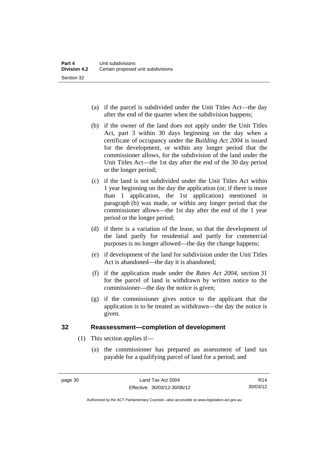- (a) if the parcel is subdivided under the Unit Titles Act—the day after the end of the quarter when the subdivision happens;
- (b) if the owner of the land does not apply under the Unit Titles Act, part 3 within 30 days beginning on the day when a certificate of occupancy under the *Building Act 2004* is issued for the development, or within any longer period that the commissioner allows, for the subdivision of the land under the Unit Titles Act—the 1st day after the end of the 30 day period or the longer period;
- (c) if the land is not subdivided under the Unit Titles Act within 1 year beginning on the day the application (or, if there is more than 1 application, the 1st application) mentioned in paragraph (b) was made, or within any longer period that the commissioner allows—the 1st day after the end of the 1 year period or the longer period;
- (d) if there is a variation of the lease, so that the development of the land partly for residential and partly for commercial purposes is no longer allowed—the day the change happens;
- (e) if development of the land for subdivision under the Unit Titles Act is abandoned—the day it is abandoned;
- (f) if the application made under the *Rates Act 2004*, section 31 for the parcel of land is withdrawn by written notice to the commissioner—the day the notice is given;
- (g) if the commissioner gives notice to the applicant that the application is to be treated as withdrawn—the day the notice is given.

# <span id="page-35-0"></span>**32 Reassessment—completion of development**

- (1) This section applies if—
	- (a) the commissioner has prepared an assessment of land tax payable for a qualifying parcel of land for a period; and

Authorised by the ACT Parliamentary Counsel—also accessible at www.legislation.act.gov.au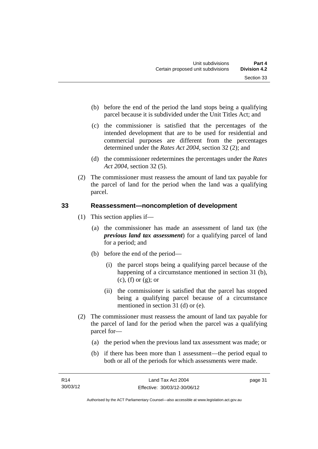- (b) before the end of the period the land stops being a qualifying parcel because it is subdivided under the Unit Titles Act; and
- (c) the commissioner is satisfied that the percentages of the intended development that are to be used for residential and commercial purposes are different from the percentages determined under the *Rates Act 2004*, section 32 (2); and
- (d) the commissioner redetermines the percentages under the *Rates Act 2004*, section 32 (5).
- (2) The commissioner must reassess the amount of land tax payable for the parcel of land for the period when the land was a qualifying parcel.

# <span id="page-36-0"></span>**33 Reassessment—noncompletion of development**

- (1) This section applies if—
	- (a) the commissioner has made an assessment of land tax (the *previous land tax assessment*) for a qualifying parcel of land for a period; and
	- (b) before the end of the period—
		- (i) the parcel stops being a qualifying parcel because of the happening of a circumstance mentioned in section 31 (b),  $(c)$ ,  $(f)$  or  $(g)$ ; or
		- (ii) the commissioner is satisfied that the parcel has stopped being a qualifying parcel because of a circumstance mentioned in section 31 (d) or (e).
- (2) The commissioner must reassess the amount of land tax payable for the parcel of land for the period when the parcel was a qualifying parcel for—
	- (a) the period when the previous land tax assessment was made; or
	- (b) if there has been more than 1 assessment—the period equal to both or all of the periods for which assessments were made.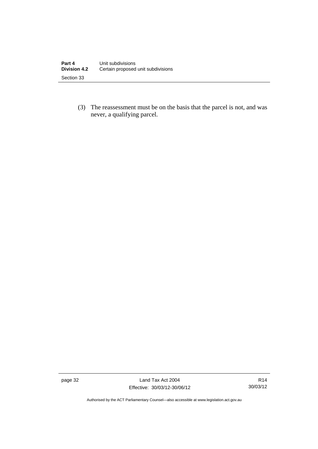(3) The reassessment must be on the basis that the parcel is not, and was never, a qualifying parcel.

page 32 Land Tax Act 2004 Effective: 30/03/12-30/06/12

R14 30/03/12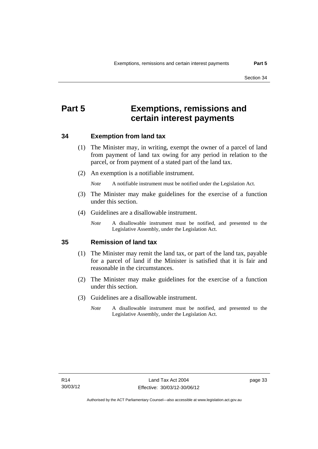# <span id="page-38-0"></span>**Part 5 Exemptions, remissions and certain interest payments**

### <span id="page-38-1"></span>**34 Exemption from land tax**

- (1) The Minister may, in writing, exempt the owner of a parcel of land from payment of land tax owing for any period in relation to the parcel, or from payment of a stated part of the land tax.
- (2) An exemption is a notifiable instrument.

*Note* A notifiable instrument must be notified under the Legislation Act.

- (3) The Minister may make guidelines for the exercise of a function under this section.
- (4) Guidelines are a disallowable instrument.
	- *Note* A disallowable instrument must be notified, and presented to the Legislative Assembly, under the Legislation Act.

### <span id="page-38-2"></span>**35 Remission of land tax**

- (1) The Minister may remit the land tax, or part of the land tax, payable for a parcel of land if the Minister is satisfied that it is fair and reasonable in the circumstances.
- (2) The Minister may make guidelines for the exercise of a function under this section.
- (3) Guidelines are a disallowable instrument.
	- *Note* A disallowable instrument must be notified, and presented to the Legislative Assembly, under the Legislation Act.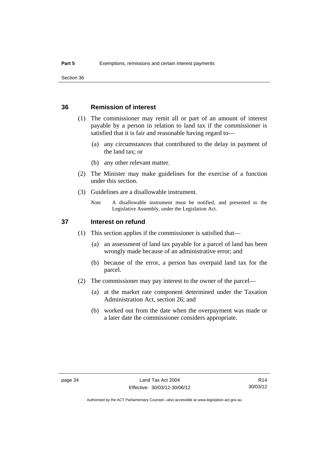### <span id="page-39-0"></span>**36 Remission of interest**

- (1) The commissioner may remit all or part of an amount of interest payable by a person in relation to land tax if the commissioner is satisfied that it is fair and reasonable having regard to—
	- (a) any circumstances that contributed to the delay in payment of the land tax; or
	- (b) any other relevant matter.
- (2) The Minister may make guidelines for the exercise of a function under this section.
- (3) Guidelines are a disallowable instrument.
	- *Note* A disallowable instrument must be notified, and presented to the Legislative Assembly, under the Legislation Act.

### <span id="page-39-1"></span>**37 Interest on refund**

- (1) This section applies if the commissioner is satisfied that—
	- (a) an assessment of land tax payable for a parcel of land has been wrongly made because of an administrative error; and
	- (b) because of the error, a person has overpaid land tax for the parcel.
- (2) The commissioner may pay interest to the owner of the parcel—
	- (a) at the market rate component determined under the Taxation Administration Act, section 26; and
	- (b) worked out from the date when the overpayment was made or a later date the commissioner considers appropriate.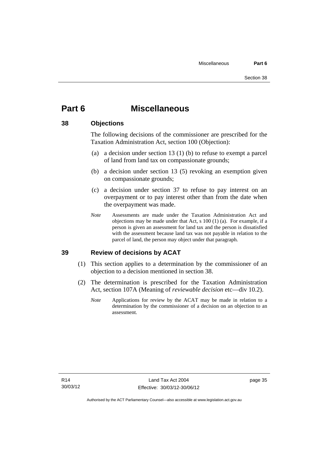# <span id="page-40-0"></span>**Part 6 Miscellaneous**

### <span id="page-40-1"></span>**38 Objections**

The following decisions of the commissioner are prescribed for the Taxation Administration Act, section 100 (Objection):

- (a) a decision under section 13 (1) (b) to refuse to exempt a parcel of land from land tax on compassionate grounds;
- (b) a decision under section 13 (5) revoking an exemption given on compassionate grounds;
- (c) a decision under section 37 to refuse to pay interest on an overpayment or to pay interest other than from the date when the overpayment was made.
- *Note* Assessments are made under the Taxation Administration Act and objections may be made under that Act, s 100 (1) (a). For example, if a person is given an assessment for land tax and the person is dissatisfied with the assessment because land tax was not payable in relation to the parcel of land, the person may object under that paragraph.

### <span id="page-40-2"></span>**39 Review of decisions by ACAT**

- (1) This section applies to a determination by the commissioner of an objection to a decision mentioned in section 38.
- (2) The determination is prescribed for the Taxation Administration Act, section 107A (Meaning of *reviewable decision* etc—div 10.2).
	- *Note* Applications for review by the ACAT may be made in relation to a determination by the commissioner of a decision on an objection to an assessment.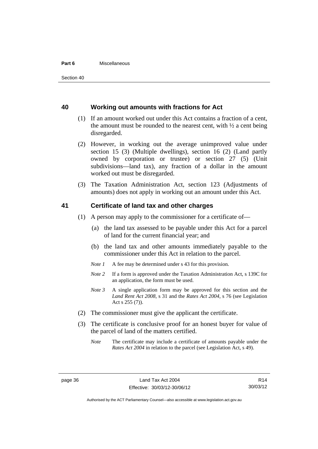#### **Part 6** Miscellaneous

### <span id="page-41-0"></span>**40 Working out amounts with fractions for Act**

- (1) If an amount worked out under this Act contains a fraction of a cent, the amount must be rounded to the nearest cent, with  $\frac{1}{2}$  a cent being disregarded.
- (2) However, in working out the average unimproved value under section 15 (3) (Multiple dwellings), section 16 (2) (Land partly owned by corporation or trustee) or section 27 (5) (Unit subdivisions—land tax), any fraction of a dollar in the amount worked out must be disregarded.
- (3) The Taxation Administration Act, section 123 (Adjustments of amounts) does not apply in working out an amount under this Act.

### <span id="page-41-1"></span>**41 Certificate of land tax and other charges**

- (1) A person may apply to the commissioner for a certificate of—
	- (a) the land tax assessed to be payable under this Act for a parcel of land for the current financial year; and
	- (b) the land tax and other amounts immediately payable to the commissioner under this Act in relation to the parcel.
	- *Note 1* A fee may be determined under s 43 for this provision.
	- *Note 2* If a form is approved under the Taxation Administration Act, s 139C for an application, the form must be used.
	- *Note 3* A single application form may be approved for this section and the *Land Rent Act 2008*, s 31 and the *Rates Act 2004*, s 76 (see Legislation Act s 255 (7)).
- (2) The commissioner must give the applicant the certificate.
- (3) The certificate is conclusive proof for an honest buyer for value of the parcel of land of the matters certified.
	- *Note* The certificate may include a certificate of amounts payable under the *Rates Act 2004* in relation to the parcel (see Legislation Act, s 49).

Authorised by the ACT Parliamentary Counsel—also accessible at www.legislation.act.gov.au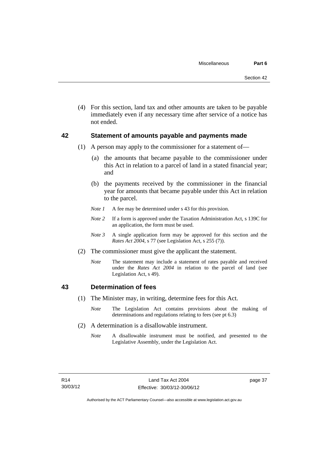(4) For this section, land tax and other amounts are taken to be payable immediately even if any necessary time after service of a notice has not ended.

### <span id="page-42-0"></span>**42 Statement of amounts payable and payments made**

- (1) A person may apply to the commissioner for a statement of—
	- (a) the amounts that became payable to the commissioner under this Act in relation to a parcel of land in a stated financial year; and
	- (b) the payments received by the commissioner in the financial year for amounts that became payable under this Act in relation to the parcel.
	- *Note 1* A fee may be determined under s 43 for this provision.
	- *Note 2* If a form is approved under the Taxation Administration Act, s 139C for an application, the form must be used.
	- *Note 3* A single application form may be approved for this section and the *Rates Act 2004*, s 77 (see Legislation Act, s 255 (7)).
- (2) The commissioner must give the applicant the statement.
	- *Note* The statement may include a statement of rates payable and received under the *Rates Act 2004* in relation to the parcel of land (see Legislation Act, s 49).

### <span id="page-42-1"></span>**43 Determination of fees**

- (1) The Minister may, in writing, determine fees for this Act.
	- *Note* The Legislation Act contains provisions about the making of determinations and regulations relating to fees (see pt 6.3)
- (2) A determination is a disallowable instrument.
	- *Note* A disallowable instrument must be notified, and presented to the Legislative Assembly, under the Legislation Act.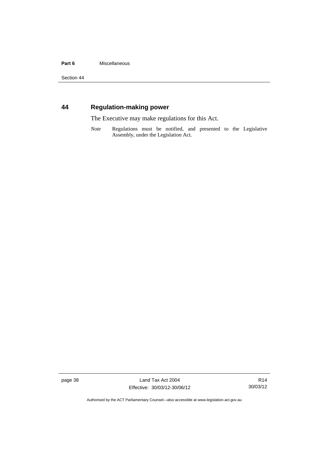### Part 6 **Miscellaneous**

Section 44

# <span id="page-43-0"></span>**44 Regulation-making power**

The Executive may make regulations for this Act.

*Note* Regulations must be notified, and presented to the Legislative Assembly, under the Legislation Act.

page 38 Land Tax Act 2004 Effective: 30/03/12-30/06/12

R14 30/03/12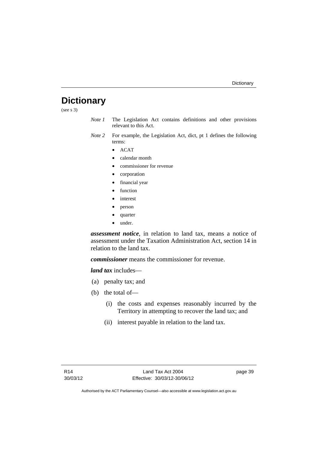# <span id="page-44-0"></span>**Dictionary**

(see s 3)

- *Note 1* The Legislation Act contains definitions and other provisions relevant to this Act.
- *Note 2* For example, the Legislation Act, dict, pt 1 defines the following terms:
	- $\bullet$  ACAT
	- calendar month
	- commissioner for revenue
	- corporation
	- financial year
	- function
	- interest
	- person
	- quarter
	- under.

*assessment notice*, in relation to land tax, means a notice of assessment under the Taxation Administration Act, section 14 in relation to the land tax.

*commissioner* means the commissioner for revenue.

*land tax* includes—

- (a) penalty tax; and
- (b) the total of—
	- (i) the costs and expenses reasonably incurred by the Territory in attempting to recover the land tax; and
	- (ii) interest payable in relation to the land tax.

page 39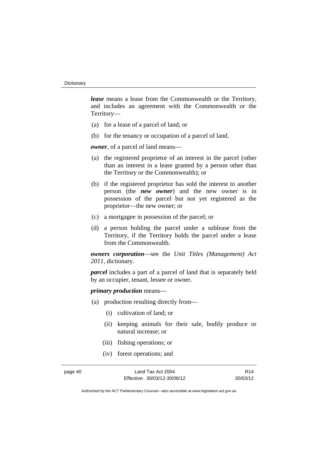*lease* means a lease from the Commonwealth or the Territory, and includes an agreement with the Commonwealth or the Territory—

- (a) for a lease of a parcel of land; or
- (b) for the tenancy or occupation of a parcel of land.

*owner*, of a parcel of land means—

- (a) the registered proprietor of an interest in the parcel (other than an interest in a lease granted by a person other than the Territory or the Commonwealth); or
- (b) if the registered proprietor has sold the interest to another person (the *new owner*) and the new owner is in possession of the parcel but not yet registered as the proprietor—the new owner; or
- (c) a mortgagee in possession of the parcel; or
- (d) a person holding the parcel under a sublease from the Territory, if the Territory holds the parcel under a lease from the Commonwealth.

*owners corporation*—see the *Unit Titles (Management) Act 2011*, dictionary.

*parcel* includes a part of a parcel of land that is separately held by an occupier, tenant, lessee or owner.

*primary production* means—

- (a) production resulting directly from—
	- (i) cultivation of land; or
	- (ii) keeping animals for their sale, bodily produce or natural increase; or
	- (iii) fishing operations; or
	- (iv) forest operations; and

page 40 Land Tax Act 2004 Effective: 30/03/12-30/06/12

R14 30/03/12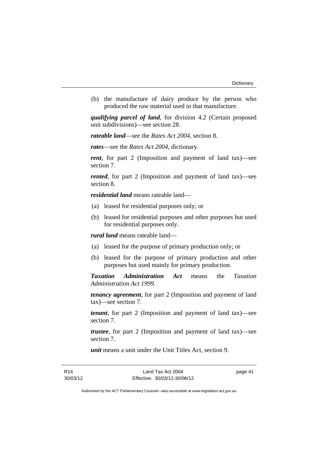(b) the manufacture of dairy produce by the person who produced the raw material used in that manufacture.

*qualifying parcel of land*, for division 4.2 (Certain proposed unit subdivisions)—see section 28.

*rateable land*—see the *Rates Act 2004*, section 8.

*rates*—see the *Rates Act 2004*, dictionary.

*rent*, for part 2 (Imposition and payment of land tax)—see section 7.

*rented*, for part 2 (Imposition and payment of land tax)—see section 8.

*residential land* means rateable land—

- (a) leased for residential purposes only; or
- (b) leased for residential purposes and other purposes but used for residential purposes only.

*rural land* means rateable land—

- (a) leased for the purpose of primary production only; or
- (b) leased for the purpose of primary production and other purposes but used mainly for primary production.

*Taxation Administration Act* means the *Taxation Administration Act 1999*.

*tenancy agreement*, for part 2 (Imposition and payment of land tax)—see section 7.

*tenant*, for part 2 (Imposition and payment of land tax)—see section 7.

*trustee*, for part 2 (Imposition and payment of land tax)—see section 7.

*unit* means a unit under the Unit Titles Act, section 9.

page 41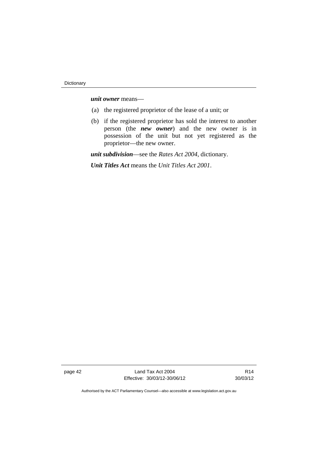*unit owner* means—

- (a) the registered proprietor of the lease of a unit; or
- (b) if the registered proprietor has sold the interest to another person (the *new owner*) and the new owner is in possession of the unit but not yet registered as the proprietor—the new owner.

*unit subdivision*—see the *Rates Act 2004*, dictionary.

*Unit Titles Act* means the *Unit Titles Act 2001*.

page 42 Land Tax Act 2004 Effective: 30/03/12-30/06/12

R14 30/03/12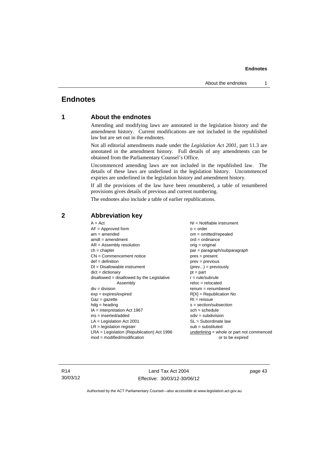# <span id="page-48-0"></span>**Endnotes**

### **1 About the endnotes**

Amending and modifying laws are annotated in the legislation history and the amendment history. Current modifications are not included in the republished law but are set out in the endnotes.

Not all editorial amendments made under the *Legislation Act 2001*, part 11.3 are annotated in the amendment history. Full details of any amendments can be obtained from the Parliamentary Counsel's Office.

Uncommenced amending laws are not included in the republished law. The details of these laws are underlined in the legislation history. Uncommenced expiries are underlined in the legislation history and amendment history.

If all the provisions of the law have been renumbered, a table of renumbered provisions gives details of previous and current numbering.

The endnotes also include a table of earlier republications.

| $A = Act$                                    | NI = Notifiable instrument                |
|----------------------------------------------|-------------------------------------------|
| $AF =$ Approved form                         | $o = order$                               |
| $am = amended$                               | $om = omitted/repealed$                   |
| $amdt = amendment$                           | $ord = ordinance$                         |
| $AR = Assembly resolution$                   | $orig = original$                         |
| $ch = chapter$                               | par = paragraph/subparagraph              |
| $CN =$ Commencement notice                   | $pres = present$                          |
| $def = definition$                           | $prev = previous$                         |
| $DI = Disallowable instrument$               | $(\text{prev}) = \text{previously}$       |
| $dict = dictionary$                          | $pt = part$                               |
| $disallowed = disallowed by the Legislative$ | $r = rule/subrule$                        |
| Assembly                                     | $reloc = relocated$                       |
| $div = division$                             | $renum = renumbered$                      |
| $exp = expires/expired$                      | $R[X]$ = Republication No                 |
| $Gaz = gazette$                              | $RI = reissue$                            |
| $hdg =$ heading                              | s = section/subsection                    |
| $IA = Interpretation Act 1967$               | $sch = schedule$                          |
| $ins = inserted/added$                       | $sdiv = subdivision$                      |
| $LA =$ Legislation Act 2001                  | $SL = Subordinate$ law                    |
| $LR =$ legislation register                  | $sub =$ substituted                       |
| $LRA =$ Legislation (Republication) Act 1996 | underlining = whole or part not commenced |
| $mod = modified/modification$                | or to be expired                          |
|                                              |                                           |

# <span id="page-48-2"></span>**2 Abbreviation key**

R14 30/03/12

Land Tax Act 2004 Effective: 30/03/12-30/06/12 page 43

<span id="page-48-1"></span>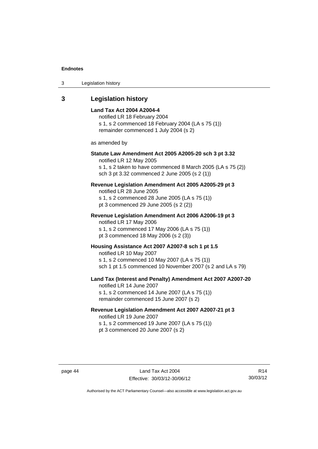| Legislation history<br>3 |  |
|--------------------------|--|
|--------------------------|--|

<span id="page-49-0"></span>

| 3 | <b>Legislation history</b> |  |
|---|----------------------------|--|
|---|----------------------------|--|

| Legisiation mstory                                                                                                                                                                               |
|--------------------------------------------------------------------------------------------------------------------------------------------------------------------------------------------------|
| Land Tax Act 2004 A2004-4<br>notified LR 18 February 2004<br>s 1, s 2 commenced 18 February 2004 (LA s 75 (1))<br>remainder commenced 1 July 2004 (s 2)                                          |
| as amended by                                                                                                                                                                                    |
| Statute Law Amendment Act 2005 A2005-20 sch 3 pt 3.32<br>notified LR 12 May 2005<br>s 1, s 2 taken to have commenced 8 March 2005 (LA s 75 (2))<br>sch 3 pt 3.32 commenced 2 June 2005 (s 2 (1)) |
| Revenue Legislation Amendment Act 2005 A2005-29 pt 3<br>notified LR 28 June 2005<br>s 1, s 2 commenced 28 June 2005 (LA s 75 (1))<br>pt 3 commenced 29 June 2005 (s 2 (2))                       |
| Revenue Legislation Amendment Act 2006 A2006-19 pt 3<br>notified LR 17 May 2006<br>s 1, s 2 commenced 17 May 2006 (LA s 75 (1))<br>pt 3 commenced 18 May 2006 (s 2 (3))                          |
| Housing Assistance Act 2007 A2007-8 sch 1 pt 1.5<br>notified LR 10 May 2007<br>s 1, s 2 commenced 10 May 2007 (LA s 75 (1))<br>sch 1 pt 1.5 commenced 10 November 2007 (s 2 and LA s 79)         |
| Land Tax (Interest and Penalty) Amendment Act 2007 A2007-20<br>notified LR 14 June 2007<br>s 1, s 2 commenced 14 June 2007 (LA s 75 (1))<br>remainder commenced 15 June 2007 (s 2)               |
| Revenue Legislation Amendment Act 2007 A2007-21 pt 3<br>notified LR 19 June 2007<br>s 1, s 2 commenced 19 June 2007 (LA s 75 (1))                                                                |

pt 3 commenced 20 June 2007 (s 2)

R14 30/03/12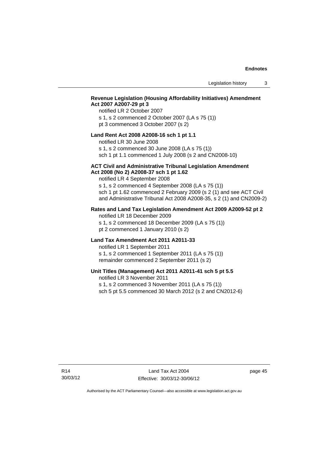### **Revenue Legislation (Housing Affordability Initiatives) Amendment Act 2007 A2007-29 pt 3**

### notified LR 2 October 2007

s 1, s 2 commenced 2 October 2007 (LA s 75 (1)) pt 3 commenced 3 October 2007 (s 2)

### **Land Rent Act 2008 A2008-16 sch 1 pt 1.1**

notified LR 30 June 2008

s 1, s 2 commenced 30 June 2008 (LA s 75 (1))

sch 1 pt 1.1 commenced 1 July 2008 (s 2 and CN2008-10)

#### **ACT Civil and Administrative Tribunal Legislation Amendment Act 2008 (No 2) A2008-37 sch 1 pt 1.62**

notified LR 4 September 2008

s 1, s 2 commenced 4 September 2008 (LA s 75 (1)) sch 1 pt 1.62 commenced 2 February 2009 (s 2 (1) and see ACT Civil and Administrative Tribunal Act 2008 A2008-35, s 2 (1) and CN2009-2)

### **Rates and Land Tax Legislation Amendment Act 2009 A2009-52 pt 2**

notified LR 18 December 2009 s 1, s 2 commenced 18 December 2009 (LA s 75 (1)) pt 2 commenced 1 January 2010 (s 2)

### **Land Tax Amendment Act 2011 A2011-33**

notified LR 1 September 2011 s 1, s 2 commenced 1 September 2011 (LA s 75 (1)) remainder commenced 2 September 2011 (s 2)

### **Unit Titles (Management) Act 2011 A2011-41 sch 5 pt 5.5**

notified LR 3 November 2011

s 1, s 2 commenced 3 November 2011 (LA s 75 (1))

sch 5 pt 5.5 commenced 30 March 2012 (s 2 and CN2012-6)

page 45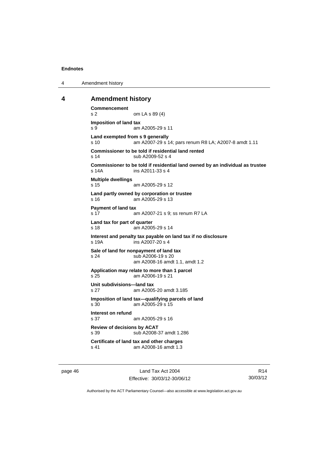4 Amendment history

### <span id="page-51-0"></span>**4 Amendment history**

```
Commencement 
s 2 om LA s 89 (4) 
Imposition of land tax 
s 9 am A2005-29 s 11 
Land exempted from s 9 generally 
s 10 am A2007-29 s 14; pars renum R8 LA; A2007-8 amdt 1.11 
Commissioner to be told if residential land rented 
s 14 sub A2009-52 s 4 
Commissioner to be told if residential land owned by an individual as trustee 
s 14A ins A2011-33 s 4 
Multiple dwellings 
s 15 am A2005-29 s 12
Land partly owned by corporation or trustee 
s 16 am A2005-29 s 13 
Payment of land tax 
s 17 am A2007-21 s 9; ss renum R7 LA 
Land tax for part of quarter 
s 18 am A2005-29 s 14 
Interest and penalty tax payable on land tax if no disclosure 
s 19A ins A2007-20 s 4 
Sale of land for nonpayment of land tax 
s 24 sub A2006-19 s 20 
                am A2008-16 amdt 1.1, amdt 1.2 
Application may relate to more than 1 parcel 
s 25 am A2006-19 s 21 
Unit subdivisions—land tax 
s 27 am A2005-20 amdt 3.185 
Imposition of land tax—qualifying parcels of land 
s 30 am A2005-29 s 15 
Interest on refund 
s 37 am A2005-29 s 16 
Review of decisions by ACAT 
s 39 sub A2008-37 amdt 1.286 
Certificate of land tax and other charges 
s 41 am A2008-16 amdt 1.3
```
page 46 Land Tax Act 2004 Effective: 30/03/12-30/06/12

R14 30/03/12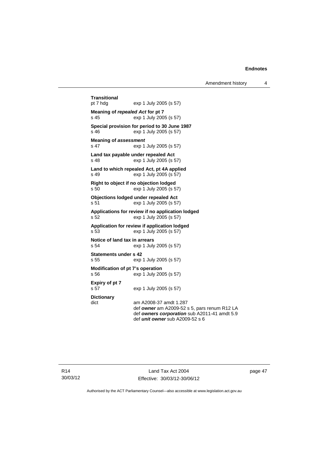Amendment history 4

```
Transitional 
                exp 1 July 2005 (s 57)
Meaning of repealed Act for pt 7 
s 45 exp 1 July 2005 (s 57) 
Special provision for period to 30 June 1987 
s 46 exp 1 July 2005 (s 57) 
Meaning of assessment
s 47 exp 1 July 2005 (s 57) 
Land tax payable under repealed Act 
s 48 exp 1 July 2005 (s 57) 
Land to which repealed Act, pt 4A applied 
s 49 exp 1 July 2005 (s 57) 
Right to object if no objection lodged 
s 50 exp 1 July 2005 (s 57) 
Objections lodged under repealed Act 
s 51 exp 1 July 2005 (s 57) 
Applications for review if no application lodged 
s 52 exp 1 July 2005 (s 57) 
Application for review if application lodged 
s 53 exp 1 July 2005 (s 57) 
Notice of land tax in arrears 
s 54 exp 1 July 2005 (s 57) 
Statements under s 42 
s 55 exp 1 July 2005 (s 57) 
Modification of pt 7's operation 
s 56 exp 1 July 2005 (s 57) 
Expiry of pt 7 
s 57 exp 1 July 2005 (s 57) 
Dictionary 
dict am A2008-37 amdt 1.287 
                 def owner am A2009-52 s 5, pars renum R12 LA 
                 def owners corporation sub A2011-41 amdt 5.9 
                 def unit owner sub A2009-52 s 6
```
page 47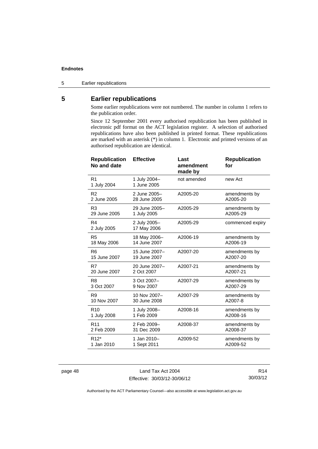5 Earlier republications

# <span id="page-53-0"></span>**5 Earlier republications**

Some earlier republications were not numbered. The number in column 1 refers to the publication order.

Since 12 September 2001 every authorised republication has been published in electronic pdf format on the ACT legislation register. A selection of authorised republications have also been published in printed format. These republications are marked with an asterisk (\*) in column 1. Electronic and printed versions of an authorised republication are identical.

| <b>Republication</b><br>No and date | <b>Effective</b>            | Last<br>amendment<br>made by | <b>Republication</b><br>for |
|-------------------------------------|-----------------------------|------------------------------|-----------------------------|
| R <sub>1</sub><br>1 July 2004       | 1 July 2004-<br>1 June 2005 | not amended                  | new Act                     |
| R <sub>2</sub>                      | 2 June 2005-                | A2005-20                     | amendments by               |
| 2 June 2005                         | 28 June 2005                |                              | A2005-20                    |
| R <sub>3</sub>                      | 29 June 2005-               | A2005-29                     | amendments by               |
| 29 June 2005                        | 1 July 2005                 |                              | A2005-29                    |
| R4<br>2 July 2005                   | 2 July 2005-<br>17 May 2006 | A2005-29                     | commenced expiry            |
| R <sub>5</sub>                      | 18 May 2006-                | A2006-19                     | amendments by               |
| 18 May 2006                         | 14 June 2007                |                              | A2006-19                    |
| R <sub>6</sub>                      | 15 June 2007-               | A2007-20                     | amendments by               |
| 15 June 2007                        | 19 June 2007                |                              | A2007-20                    |
| R7                                  | 20 June 2007-               | A2007-21                     | amendments by               |
| 20 June 2007                        | 2 Oct 2007                  |                              | A2007-21                    |
| R <sub>8</sub>                      | 3 Oct 2007-                 | A2007-29                     | amendments by               |
| 3 Oct 2007                          | 9 Nov 2007                  |                              | A2007-29                    |
| R <sub>9</sub>                      | 10 Nov 2007-                | A2007-29                     | amendments by               |
| 10 Nov 2007                         | 30 June 2008                |                              | A2007-8                     |
| R <sub>10</sub>                     | 1 July 2008-                | A2008-16                     | amendments by               |
| 1 July 2008                         | 1 Feb 2009                  |                              | A2008-16                    |
| R <sub>11</sub>                     | 2 Feb 2009-                 | A2008-37                     | amendments by               |
| 2 Feb 2009                          | 31 Dec 2009                 |                              | A2008-37                    |
| R <sub>12</sub> *                   | 1 Jan 2010-                 | A2009-52                     | amendments by               |
| 1 Jan 2010                          | 1 Sept 2011                 |                              | A2009-52                    |

page 48 Land Tax Act 2004 Effective: 30/03/12-30/06/12

R14 30/03/12